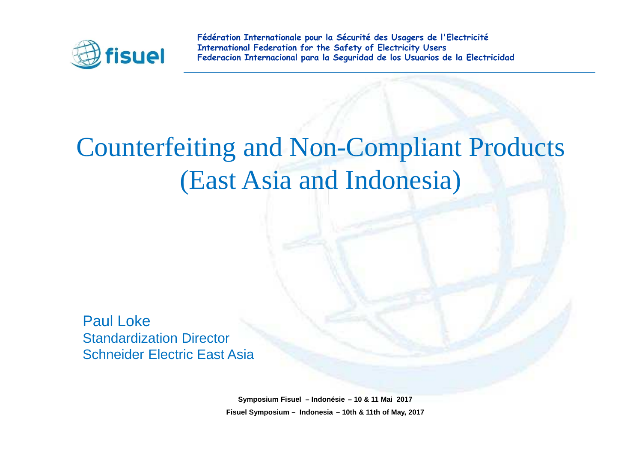

# Counterfeiting and Non-Compliant Products (East Asia and Indonesia)

Paul Loke Standardization DirectorSchneider Electric East Asia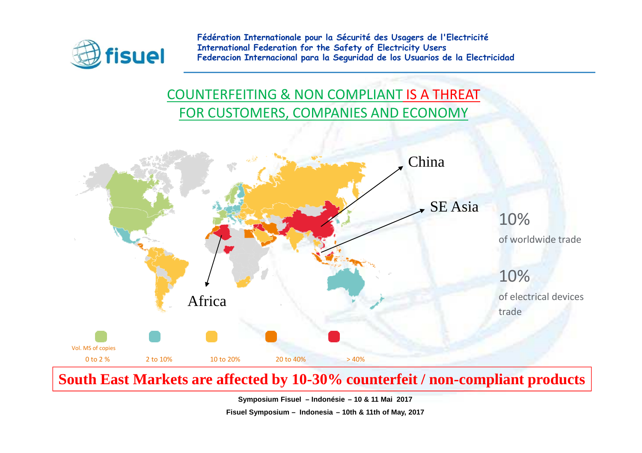

#### COUNTERFEITING & NON COMPLIANT IS A THREAT FOR CUSTOMERS, COMPANIES AND ECONOMY



#### **South East Markets are affected by 10-30% counterfeit / non-compliant products**

**Symposium Fisuel – Indonésie – 10 & 11 Mai 2017**

**Fisuel Symposium – Indonesia – 10th & 11th of May, 2017**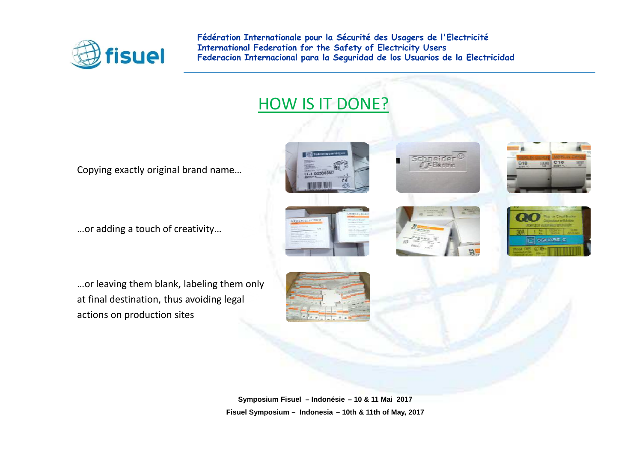

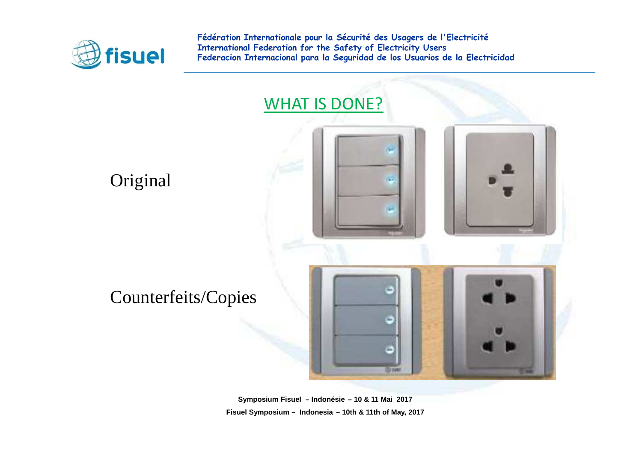

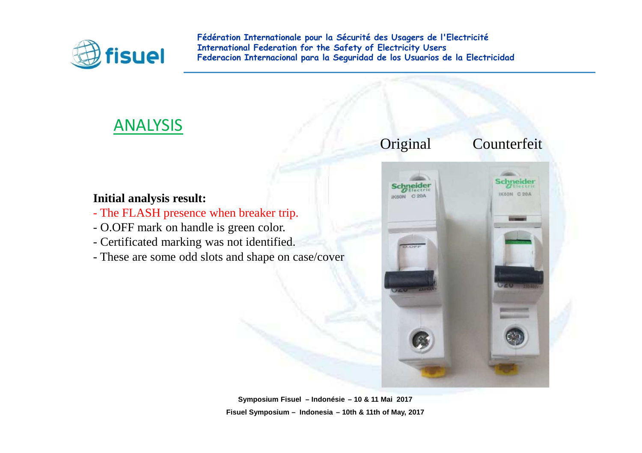

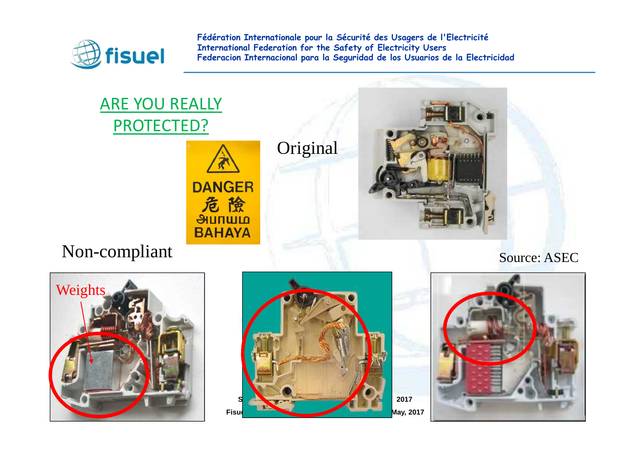

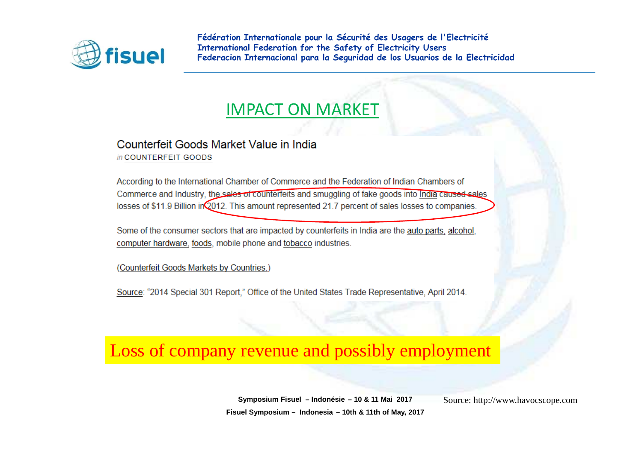

#### IMPACT ON MARKET

#### Counterfeit Goods Market Value in India

in COUNTERFEIT GOODS

According to the International Chamber of Commerce and the Federation of Indian Chambers of Commerce and Industry, the sales of counterfeits and smuggling of fake goods into India caused sales losses of \$11.9 Billion in 2012. This amount represented 21.7 percent of sales losses to companies.

Some of the consumer sectors that are impacted by counterfeits in India are the auto parts, alcohol, computer hardware, foods, mobile phone and tobacco industries.

(Counterfeit Goods Markets by Countries.)

Source: "2014 Special 301 Report," Office of the United States Trade Representative, April 2014.

#### Loss of company revenue and possibly employment

**Symposium Fisuel – Indonésie – 10 & 11 Mai 2017Fisuel Symposium – Indonesia – 10th & 11th of May, 2017** Source: http://www.havocscope.com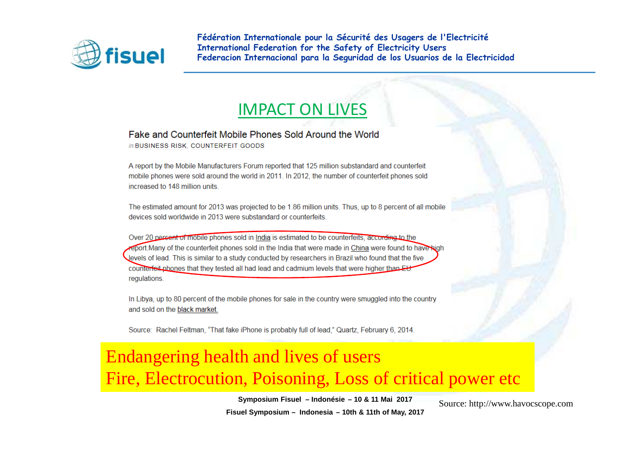

### IMPACT ON LIVES

Fake and Counterfeit Mobile Phones Sold Around the World in BUSINESS RISK, COUNTERFEIT GOODS

A report by the Mobile Manufacturers Forum reported that 125 million substandard and counterfeit mobile phones were sold around the world in 2011. In 2012, the number of counterfeit phones sold increased to 148 million units.

The estimated amount for 2013 was projected to be 1.86 million units. Thus, up to 8 percent of all mobile devices sold worldwide in 2013 were substandard or counterfeits.

Over 20 percent of mobile phones sold in India is estimated to be counterfeits, according to the report. Many of the counterfeit phones sold in the India that were made in China were found to have high levels of lead. This is similar to a study conducted by researchers in Brazil who found that the five counterfeit phones that they tested all had lead and cadmium levels that were higher than EU regulations.

In Libya, up to 80 percent of the mobile phones for sale in the country were smuggled into the country and sold on the black market.

Source: Rachel Feltman, "That fake iPhone is probably full of lead," Quartz, February 6, 2014.

#### Endangering health and lives of usersFire, Electrocution, Poisoning, Loss of critical power etc

**Symposium Fisuel – Indonésie – 10 & 11 Mai 2017Fisuel Symposium – Indonesia – 10th & 11th of May, 2017**

Source: http://www.havocscope.com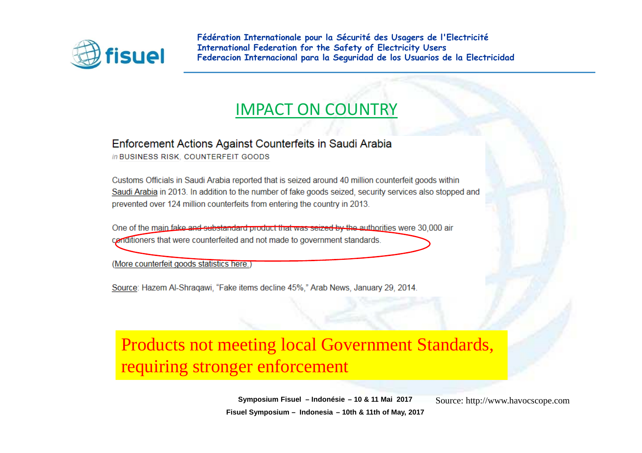

#### IMPACT ON COUNTRY

Enforcement Actions Against Counterfeits in Saudi Arabia in BUSINESS RISK, COUNTERFEIT GOODS

Customs Officials in Saudi Arabia reported that is seized around 40 million counterfeit goods within Saudi Arabia in 2013. In addition to the number of fake goods seized, security services also stopped and prevented over 124 million counterfeits from entering the country in 2013.

One of the main fake and substandard product that was seized by the authorities were 30,000 air conditioners that were counterfeited and not made to government standards.

(More counterfeit goods statistics here.)

Source: Hazem Al-Shragawi, "Fake items decline 45%," Arab News, January 29, 2014.

### Products not meeting local Government Standards, requiring stronger enforcement

**Symposium Fisuel – Indonésie – 10 & 11 Mai 2017Fisuel Symposium – Indonesia – 10th & 11th of May, 2017**Source: http://www.havocscope.com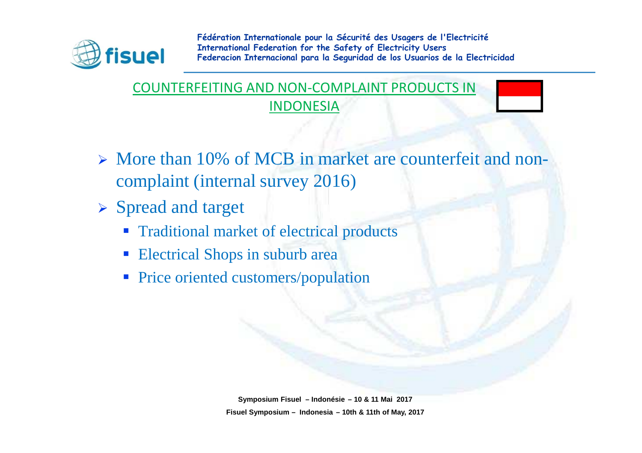

#### COUNTERFEITING AND NON-COMPLAINT PRODUCTS IN INDONESIA

- > More than 10% of MCB in market are counterfeit and noncomplaint (internal survey 2016)
- Spread and target
	- **Traditional market of electrical products**
	- -Electrical Shops in suburb area
	- **Price oriented customers/population**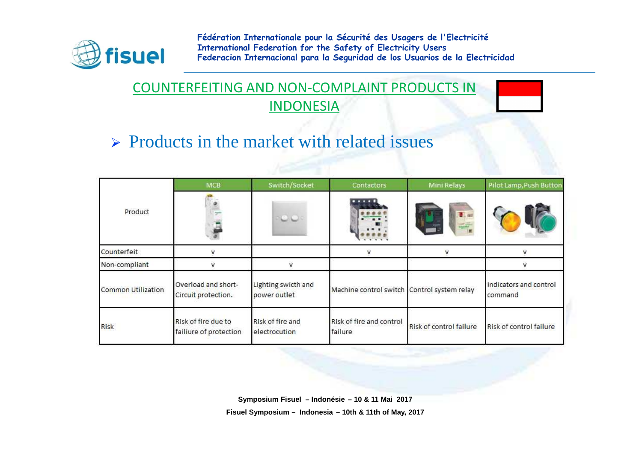

#### COUNTERFEITING AND NON-COMPLAINT PRODUCTS IN **INDONESIA**

## $\triangleright$  Products in the market with related issues

| Product                   | <b>MCB</b>                                    | Switch/Socket                       | Contactors                                  | Mini Relays             | Pilot Lamp, Push Button           |
|---------------------------|-----------------------------------------------|-------------------------------------|---------------------------------------------|-------------------------|-----------------------------------|
|                           | $\bullet$                                     | ು ಒ                                 | $-1$ $-1$ $-1$                              |                         |                                   |
| Counterfeit               |                                               |                                     |                                             |                         |                                   |
| Non-compliant             | v                                             | $\mathbf{v}$                        |                                             |                         | v                                 |
| <b>Common Utilization</b> | Overload and short-<br>Circuit protection.    | Lighting swicth and<br>power outlet | Machine control switch Control system relay |                         | Indicators and control<br>command |
| Risk                      | Risk of fire due to<br>failiure of protection | Risk of fire and<br>electrocution   | Risk of fire and control<br>failure         | Risk of control failure | Risk of control failure           |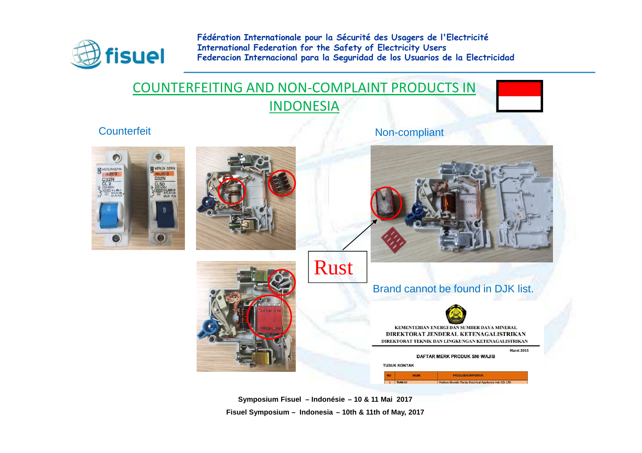

#### COUNTERFEITING AND NON-COMPLAINT PRODUCTS IN **INDONESIA**

#### **Counterfeit**









#### Brand cannot be found in DJK list.



KEMENTERIAN ENERGI DAN SUMBER DAYA MINERAL DIREKTORAT JENDERAL KETENAGALISTRIKAN DIREKTORAT TEKNIK DAN LINGKUNGAN KETENAGALISTRIKAN

**DAFTAR MERK PRODUK SNI WAJIB** 

**PRODUSEN/IMPORTIR** unde Tianiu Electrical Appliance Ind. CO.

**Maret 2015** 

**TUSUK KONTAK MERK** 

**Symposium Fisuel – Indonésie – 10 & 11 Mai 2017Fisuel Symposium – Indonesia – 10th & 11th of May, 2017**

Rust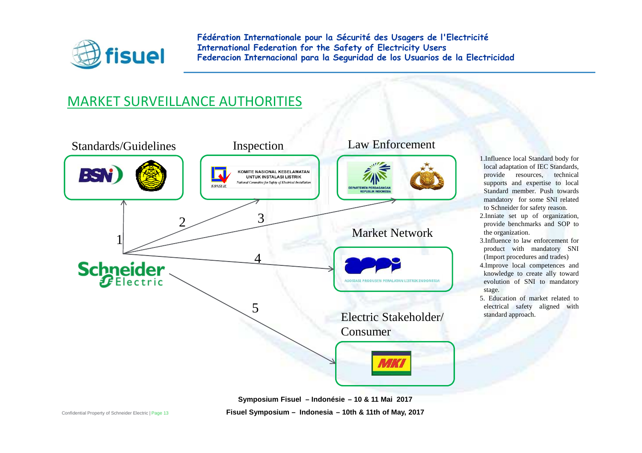

#### MARKET SURVEILLANCE AUTHORITIES



**Symposium Fisuel – Indonésie – 10 & 11 Mai 2017Fisuel Symposium – Indonesia – 10th & 11th of May, 2017** 1.Influence local Standard body for local adaptation of IEC Standards, provide resources, technical supports and expertise to local Standard member. Push towards mandatory for some SNI relatedto Schneider for safety reason.

- 2.Inniate set up of organization, provide benchmarks and SOP tothe organization.
- 3.Influence to law enforcement for product with mandatory SNI(Import procedures and trades)
- 4.Improve local competences and knowledge to create ally toward evolution of SNI to mandatorystage.
- 5. Education of market related to electrical safety aligned withstandard approach.